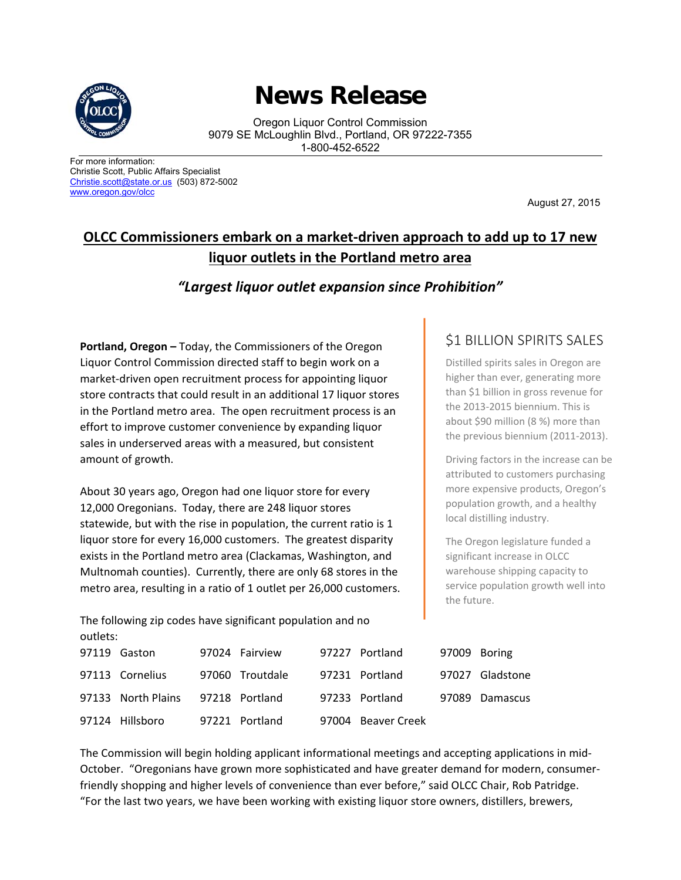

## **News Release**

Oregon Liquor Control Commission 9079 SE McLoughlin Blvd., Portland, OR 97222-7355 1-800-452-6522

For more information: Christie Scott, Public Affairs Specialist Christie.scott@state.or.us (503) 872-5002 www.oregon.gov/olcc

August 27, 2015

## **OLCC Commissioners embark on a market‐driven approach to add up to 17 new liquor outlets in the Portland metro area**

## *"Largest liquor outlet expansion since Prohibition"*

**Portland, Oregon –** Today, the Commissioners of the Oregon Liquor Control Commission directed staff to begin work on a market‐driven open recruitment process for appointing liquor store contracts that could result in an additional 17 liquor stores in the Portland metro area. The open recruitment process is an effort to improve customer convenience by expanding liquor sales in underserved areas with a measured, but consistent amount of growth.

About 30 years ago, Oregon had one liquor store for every 12,000 Oregonians. Today, there are 248 liquor stores statewide, but with the rise in population, the current ratio is 1 liquor store for every 16,000 customers. The greatest disparity exists in the Portland metro area (Clackamas, Washington, and Multnomah counties). Currently, there are only 68 stores in the metro area, resulting in a ratio of 1 outlet per 26,000 customers.

The following zip codes have significant population and no outlets:

## \$1 BILLION SPIRITS SALES

Distilled spirits sales in Oregon are higher than ever, generating more than \$1 billion in gross revenue for the 2013‐2015 biennium. This is about \$90 million (8 %) more than the previous biennium (2011‐2013).

Driving factors in the increase can be attributed to customers purchasing more expensive products, Oregon's population growth, and a healthy local distilling industry.

The Oregon legislature funded a significant increase in OLCC warehouse shipping capacity to service population growth well into the future.

| vuucio. |                    |  |                 |  |                    |              |                 |
|---------|--------------------|--|-----------------|--|--------------------|--------------|-----------------|
|         | 97119 Gaston       |  | 97024 Fairview  |  | 97227 Portland     | 97009 Boring |                 |
|         | 97113 Cornelius    |  | 97060 Troutdale |  | 97231 Portland     |              | 97027 Gladstone |
|         | 97133 North Plains |  | 97218 Portland  |  | 97233 Portland     |              | 97089 Damascus  |
|         | 97124 Hillsboro    |  | 97221 Portland  |  | 97004 Beaver Creek |              |                 |

The Commission will begin holding applicant informational meetings and accepting applications in mid‐ October. "Oregonians have grown more sophisticated and have greater demand for modern, consumer‐ friendly shopping and higher levels of convenience than ever before," said OLCC Chair, Rob Patridge. "For the last two years, we have been working with existing liquor store owners, distillers, brewers,